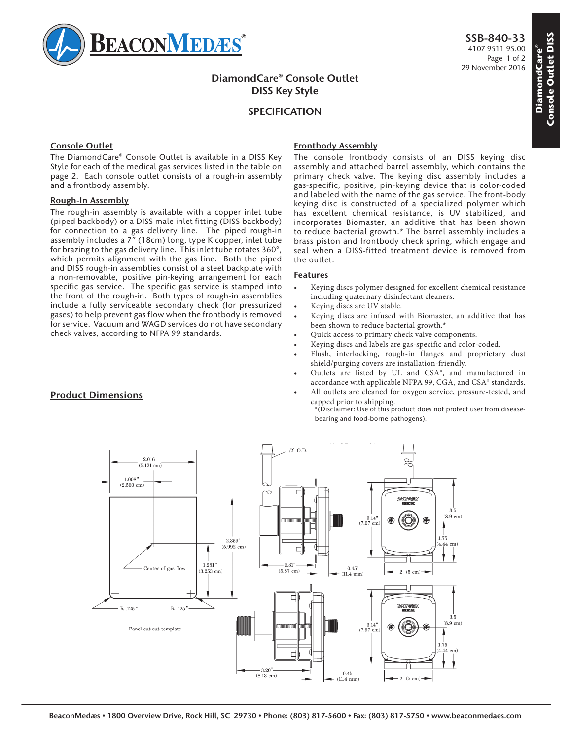

# **DiamondCare® Console Outlet DISS Key Style**

# **SPECIFICATION**

## **Console Outlet**

The DiamondCare® Console Outlet is available in a DISS Key Style for each of the medical gas services listed in the table on page 2. Each console outlet consists of a rough-in assembly and a frontbody assembly.

### **Rough-In Assembly**

The rough-in assembly is available with a copper inlet tube (piped backbody) or a DISS male inlet fitting (DISS backbody) for connection to a gas delivery line. The piped rough-in assembly includes a 7" (18cm) long, type K copper, inlet tube for brazing to the gas delivery line. This inlet tube rotates 360°, which permits alignment with the gas line. Both the piped and DISS rough-in assemblies consist of a steel backplate with a non-removable, positive pin-keying arrangement for each specific gas service. The specific gas service is stamped into the front of the rough-in. Both types of rough-in assemblies include a fully serviceable secondary check (for pressurized gases) to help prevent gas flow when the frontbody is removed for service. Vacuum and WAGD services do not have secondary check valves, according to NFPA 99 standards.

# **Frontbody Assembly**

The console frontbody consists of an DISS keying disc assembly and attached barrel assembly, which contains the primary check valve. The keying disc assembly includes a gas-specific, positive, pin-keying device that is color-coded and labeled with the name of the gas service. The front-body keying disc is constructed of a specialized polymer which has excellent chemical resistance, is UV stabilized, and incorporates Biomaster, an additive that has been shown to reduce bacterial growth.\* The barrel assembly includes a brass piston and frontbody check spring, which engage and seal when a DISS-fitted treatment device is removed from the outlet.

### **Features**

- Keying discs polymer designed for excellent chemical resistance including quaternary disinfectant cleaners.
- Keying discs are UV stable.
- Keying discs are infused with Biomaster, an additive that has been shown to reduce bacterial growth.\*
- Quick access to primary check valve components.
- Keying discs and labels are gas-specific and color-coded.
- Flush, interlocking, rough-in flanges and proprietary dust shield/purging covers are installation-friendly.
- Outlets are listed by UL and CSA®, and manufactured in accordance with applicable NFPA 99, CGA, and CSA® standards.
- All outlets are cleaned for oxygen service, pressure-tested, and capped prior to shipping.

\*(Disclaimer: Use of this product does not protect user from diseasebearing and food-borne pathogens).



# **Product Dimensions**

**DiamondCare® Console Outlet DISS** 

**Console Outlet DISS** ond Care